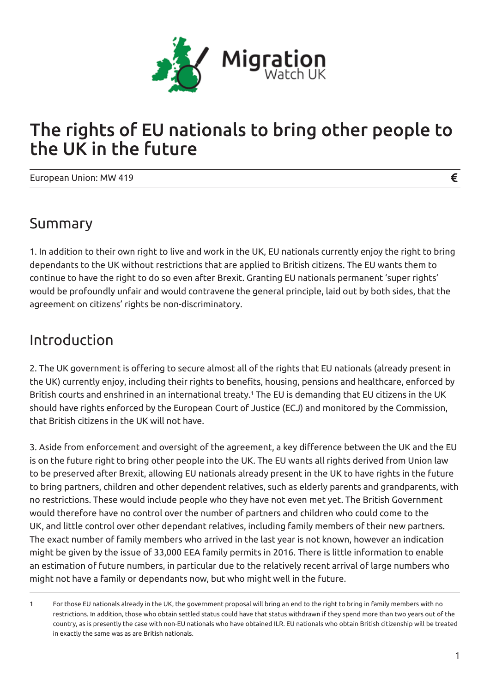

## The rights of EU nationals to bring other people to the UK in the future

European Union: MW 419

#### Summary

1. In addition to their own right to live and work in the UK, EU nationals currently enjoy the right to bring dependants to the UK without restrictions that are applied to British citizens. The EU wants them to continue to have the right to do so even after Brexit. Granting EU nationals permanent 'super rights' would be profoundly unfair and would contravene the general principle, laid out by both sides, that the agreement on citizens' rights be non-discriminatory.

#### Introduction

2. The UK government is offering to secure almost all of the rights that EU nationals (already present in the UK) currently enjoy, including their rights to benefits, housing, pensions and healthcare, enforced by British courts and enshrined in an international treaty.<sup>1</sup> The EU is demanding that EU citizens in the UK should have rights enforced by the European Court of Justice (ECJ) and monitored by the Commission, that British citizens in the UK will not have.

3. Aside from enforcement and oversight of the agreement, a key difference between the UK and the EU is on the future right to bring other people into the UK. The EU wants all rights derived from Union law to be preserved after Brexit, allowing EU nationals already present in the UK to have rights in the future to bring partners, children and other dependent relatives, such as elderly parents and grandparents, with no restrictions. These would include people who they have not even met yet. The British Government would therefore have no control over the number of partners and children who could come to the UK, and little control over other dependant relatives, including family members of their new partners. The exact number of family members who arrived in the last year is not known, however an indication might be given by the issue of 33,000 EEA family permits in 2016. There is little information to enable an estimation of future numbers, in particular due to the relatively recent arrival of large numbers who might not have a family or dependants now, but who might well in the future.

€

<sup>1</sup> For those EU nationals already in the UK, the government proposal will bring an end to the right to bring in family members with no restrictions. In addition, those who obtain settled status could have that status withdrawn if they spend more than two years out of the country, as is presently the case with non-EU nationals who have obtained ILR. EU nationals who obtain British citizenship will be treated in exactly the same was as are British nationals.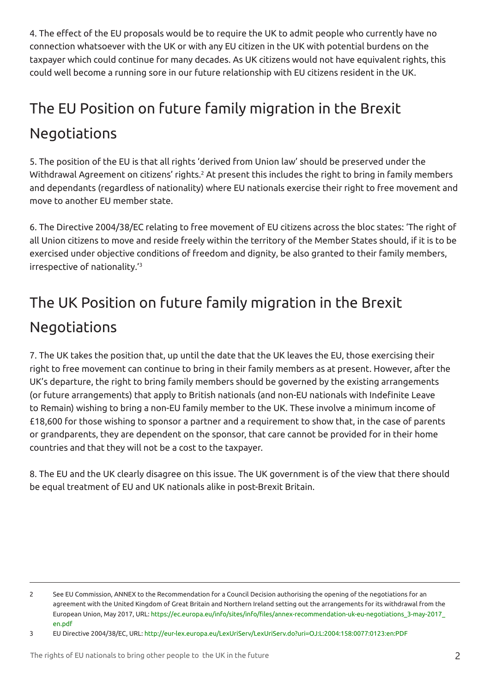4. The effect of the EU proposals would be to require the UK to admit people who currently have no connection whatsoever with the UK or with any EU citizen in the UK with potential burdens on the taxpayer which could continue for many decades. As UK citizens would not have equivalent rights, this could well become a running sore in our future relationship with EU citizens resident in the UK.

# The EU Position on future family migration in the Brexit Negotiations

5. The position of the EU is that all rights 'derived from Union law' should be preserved under the Withdrawal Agreement on citizens' rights.<sup>2</sup> At present this includes the right to bring in family members and dependants (regardless of nationality) where EU nationals exercise their right to free movement and move to another EU member state.

6. The Directive 2004/38/EC relating to free movement of EU citizens across the bloc states: 'The right of all Union citizens to move and reside freely within the territory of the Member States should, if it is to be exercised under objective conditions of freedom and dignity, be also granted to their family members, irrespective of nationality.'3

## The UK Position on future family migration in the Brexit Negotiations

7. The UK takes the position that, up until the date that the UK leaves the EU, those exercising their right to free movement can continue to bring in their family members as at present. However, after the UK's departure, the right to bring family members should be governed by the existing arrangements (or future arrangements) that apply to British nationals (and non-EU nationals with Indefinite Leave to Remain) wishing to bring a non-EU family member to the UK. These involve a minimum income of £18,600 for those wishing to sponsor a partner and a requirement to show that, in the case of parents or grandparents, they are dependent on the sponsor, that care cannot be provided for in their home countries and that they will not be a cost to the taxpayer.

8. The EU and the UK clearly disagree on this issue. The UK government is of the view that there should be equal treatment of EU and UK nationals alike in post-Brexit Britain.

<sup>2</sup> See EU Commission, ANNEX to the Recommendation for a Council Decision authorising the opening of the negotiations for an agreement with the United Kingdom of Great Britain and Northern Ireland setting out the arrangements for its withdrawal from the European Union, May 2017, URL: https://ec.europa.eu/info/sites/info/files/annex-recommendation-uk-eu-negotiations\_3-may-2017\_ en.pdf

<sup>3</sup> EU Directive 2004/38/EC, URL: http://eur-lex.europa.eu/LexUriServ/LexUriServ.do?uri=OJ:L:2004:158:0077:0123:en:PDF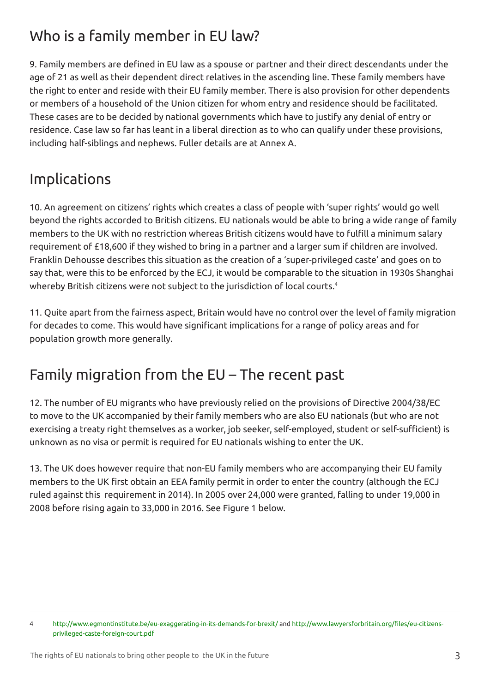## Who is a family member in EU law?

9. Family members are defined in EU law as a spouse or partner and their direct descendants under the age of 21 as well as their dependent direct relatives in the ascending line. These family members have the right to enter and reside with their EU family member. There is also provision for other dependents or members of a household of the Union citizen for whom entry and residence should be facilitated. These cases are to be decided by national governments which have to justify any denial of entry or residence. Case law so far has leant in a liberal direction as to who can qualify under these provisions, including half-siblings and nephews. Fuller details are at Annex A.

### Implications

10. An agreement on citizens' rights which creates a class of people with 'super rights' would go well beyond the rights accorded to British citizens. EU nationals would be able to bring a wide range of family members to the UK with no restriction whereas British citizens would have to fulfill a minimum salary requirement of £18,600 if they wished to bring in a partner and a larger sum if children are involved. Franklin Dehousse describes this situation as the creation of a 'super-privileged caste' and goes on to say that, were this to be enforced by the ECJ, it would be comparable to the situation in 1930s Shanghai whereby British citizens were not subject to the jurisdiction of local courts.<sup>4</sup>

11. Quite apart from the fairness aspect, Britain would have no control over the level of family migration for decades to come. This would have significant implications for a range of policy areas and for population growth more generally.

#### Family migration from the EU – The recent past

12. The number of EU migrants who have previously relied on the provisions of Directive 2004/38/EC to move to the UK accompanied by their family members who are also EU nationals (but who are not exercising a treaty right themselves as a worker, job seeker, self-employed, student or self-sufficient) is unknown as no visa or permit is required for EU nationals wishing to enter the UK.

13. The UK does however require that non-EU family members who are accompanying their EU family members to the UK first obtain an EEA family permit in order to enter the country (although the ECJ ruled against this requirement in 2014). In 2005 over 24,000 were granted, falling to under 19,000 in 2008 before rising again to 33,000 in 2016. See Figure 1 below.

<sup>4</sup> http://www.egmontinstitute.be/eu-exaggerating-in-its-demands-for-brexit/ and http://www.lawyersforbritain.org/files/eu-citizensprivileged-caste-foreign-court.pdf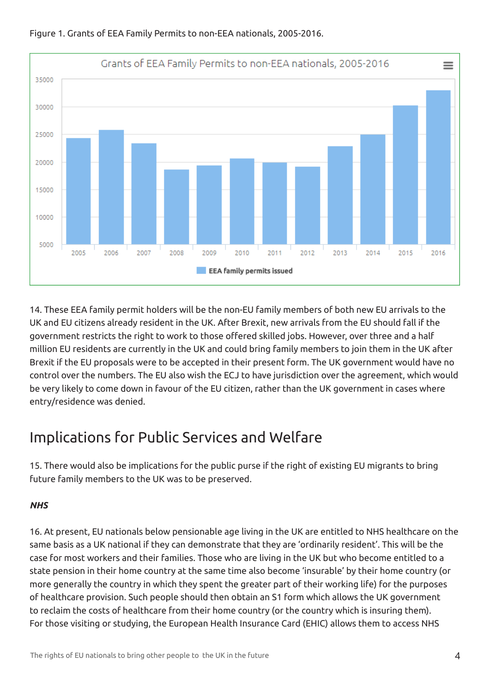

Figure 1. Grants of EEA Family Permits to non-EEA nationals, 2005-2016.

14. These EEA family permit holders will be the non-EU family members of both new EU arrivals to the UK and EU citizens already resident in the UK. After Brexit, new arrivals from the EU should fall if the government restricts the right to work to those offered skilled jobs. However, over three and a half million EU residents are currently in the UK and could bring family members to join them in the UK after Brexit if the EU proposals were to be accepted in their present form. The UK government would have no control over the numbers. The EU also wish the ECJ to have jurisdiction over the agreement, which would be very likely to come down in favour of the EU citizen, rather than the UK government in cases where entry/residence was denied.

#### Implications for Public Services and Welfare

15. There would also be implications for the public purse if the right of existing EU migrants to bring future family members to the UK was to be preserved.

#### *NHS*

16. At present, EU nationals below pensionable age living in the UK are entitled to NHS healthcare on the same basis as a UK national if they can demonstrate that they are 'ordinarily resident'. This will be the case for most workers and their families. Those who are living in the UK but who become entitled to a state pension in their home country at the same time also become 'insurable' by their home country (or more generally the country in which they spent the greater part of their working life) for the purposes of healthcare provision. Such people should then obtain an S1 form which allows the UK government to reclaim the costs of healthcare from their home country (or the country which is insuring them). For those visiting or studying, the European Health Insurance Card (EHIC) allows them to access NHS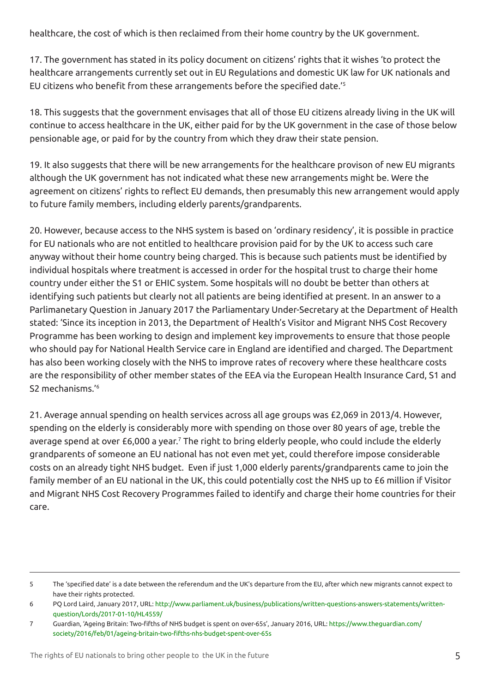healthcare, the cost of which is then reclaimed from their home country by the UK government.

17. The government has stated in its policy document on citizens' rights that it wishes 'to protect the healthcare arrangements currently set out in EU Regulations and domestic UK law for UK nationals and EU citizens who benefit from these arrangements before the specified date.'<sup>5</sup>

18. This suggests that the government envisages that all of those EU citizens already living in the UK will continue to access healthcare in the UK, either paid for by the UK government in the case of those below pensionable age, or paid for by the country from which they draw their state pension.

19. It also suggests that there will be new arrangements for the healthcare provison of new EU migrants although the UK government has not indicated what these new arrangements might be. Were the agreement on citizens' rights to reflect EU demands, then presumably this new arrangement would apply to future family members, including elderly parents/grandparents.

20. However, because access to the NHS system is based on 'ordinary residency', it is possible in practice for EU nationals who are not entitled to healthcare provision paid for by the UK to access such care anyway without their home country being charged. This is because such patients must be identified by individual hospitals where treatment is accessed in order for the hospital trust to charge their home country under either the S1 or EHIC system. Some hospitals will no doubt be better than others at identifying such patients but clearly not all patients are being identified at present. In an answer to a Parlimanetary Question in January 2017 the Parliamentary Under-Secretary at the Department of Health stated: 'Since its inception in 2013, the Department of Health's Visitor and Migrant NHS Cost Recovery Programme has been working to design and implement key improvements to ensure that those people who should pay for National Health Service care in England are identified and charged. The Department has also been working closely with the NHS to improve rates of recovery where these healthcare costs are the responsibility of other member states of the EEA via the European Health Insurance Card, S1 and S2 mechanisms.'6

21. Average annual spending on health services across all age groups was £2,069 in 2013/4. However, spending on the elderly is considerably more with spending on those over 80 years of age, treble the average spend at over £6,000 a year.<sup>7</sup> The right to bring elderly people, who could include the elderly grandparents of someone an EU national has not even met yet, could therefore impose considerable costs on an already tight NHS budget. Even if just 1,000 elderly parents/grandparents came to join the family member of an EU national in the UK, this could potentially cost the NHS up to £6 million if Visitor and Migrant NHS Cost Recovery Programmes failed to identify and charge their home countries for their care.

<sup>5</sup> The 'specified date' is a date between the referendum and the UK's departure from the EU, after which new migrants cannot expect to have their rights protected.

<sup>6</sup> PQ Lord Laird, January 2017, URL: http://www.parliament.uk/business/publications/written-questions-answers-statements/writtenquestion/Lords/2017-01-10/HL4559/

<sup>7</sup> Guardian, 'Ageing Britain: Two-fifths of NHS budget is spent on over-65s', January 2016, URL: https://www.theguardian.com/ society/2016/feb/01/ageing-britain-two-fifths-nhs-budget-spent-over-65s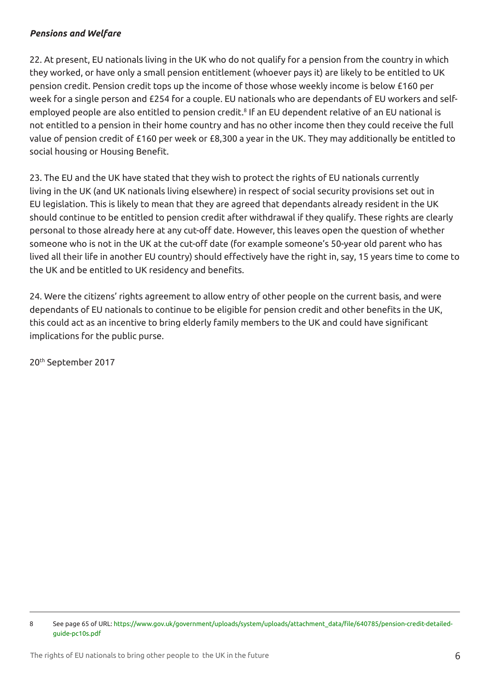#### *Pensions and Welfare*

22. At present, EU nationals living in the UK who do not qualify for a pension from the country in which they worked, or have only a small pension entitlement (whoever pays it) are likely to be entitled to UK pension credit. Pension credit tops up the income of those whose weekly income is below £160 per week for a single person and £254 for a couple. EU nationals who are dependants of EU workers and selfemployed people are also entitled to pension credit.<sup>8</sup> If an EU dependent relative of an EU national is not entitled to a pension in their home country and has no other income then they could receive the full value of pension credit of £160 per week or £8,300 a year in the UK. They may additionally be entitled to social housing or Housing Benefit.

23. The EU and the UK have stated that they wish to protect the rights of EU nationals currently living in the UK (and UK nationals living elsewhere) in respect of social security provisions set out in EU legislation. This is likely to mean that they are agreed that dependants already resident in the UK should continue to be entitled to pension credit after withdrawal if they qualify. These rights are clearly personal to those already here at any cut-off date. However, this leaves open the question of whether someone who is not in the UK at the cut-off date (for example someone's 50-year old parent who has lived all their life in another EU country) should effectively have the right in, say, 15 years time to come to the UK and be entitled to UK residency and benefits.

24. Were the citizens' rights agreement to allow entry of other people on the current basis, and were dependants of EU nationals to continue to be eligible for pension credit and other benefits in the UK, this could act as an incentive to bring elderly family members to the UK and could have significant implications for the public purse.

20th September 2017

<sup>8</sup> See page 65 of URL: https://www.gov.uk/government/uploads/system/uploads/attachment\_data/file/640785/pension-credit-detailedguide-pc10s.pdf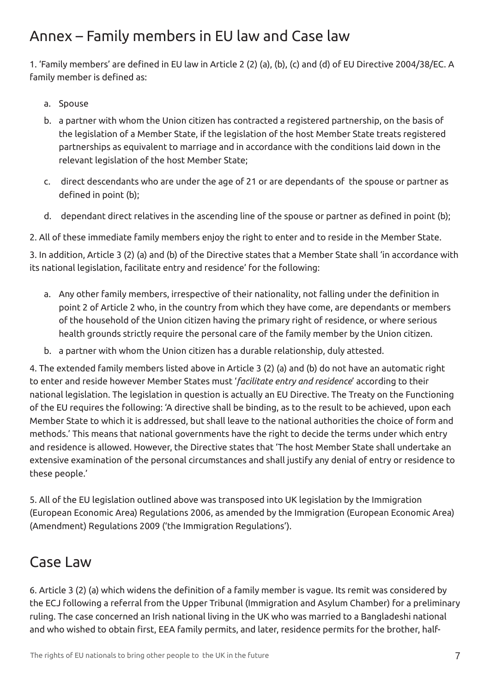### Annex – Family members in EU law and Case law

1. 'Family members' are defined in EU law in Article 2 (2) (a), (b), (c) and (d) of EU Directive 2004/38/EC. A family member is defined as:

- a. Spouse
- b. a partner with whom the Union citizen has contracted a registered partnership, on the basis of the legislation of a Member State, if the legislation of the host Member State treats registered partnerships as equivalent to marriage and in accordance with the conditions laid down in the relevant legislation of the host Member State;
- c. direct descendants who are under the age of 21 or are dependants of the spouse or partner as defined in point (b);
- d. dependant direct relatives in the ascending line of the spouse or partner as defined in point (b);

2. All of these immediate family members enjoy the right to enter and to reside in the Member State.

3. In addition, Article 3 (2) (a) and (b) of the Directive states that a Member State shall 'in accordance with its national legislation, facilitate entry and residence' for the following:

- a. Any other family members, irrespective of their nationality, not falling under the definition in point 2 of Article 2 who, in the country from which they have come, are dependants or members of the household of the Union citizen having the primary right of residence, or where serious health grounds strictly require the personal care of the family member by the Union citizen.
- b. a partner with whom the Union citizen has a durable relationship, duly attested.

4. The extended family members listed above in Article 3 (2) (a) and (b) do not have an automatic right to enter and reside however Member States must '*facilitate entry and residence*' according to their national legislation. The legislation in question is actually an EU Directive. The Treaty on the Functioning of the EU requires the following: 'A directive shall be binding, as to the result to be achieved, upon each Member State to which it is addressed, but shall leave to the national authorities the choice of form and methods.' This means that national governments have the right to decide the terms under which entry and residence is allowed. However, the Directive states that 'The host Member State shall undertake an extensive examination of the personal circumstances and shall justify any denial of entry or residence to these people.'

5. All of the EU legislation outlined above was transposed into UK legislation by the Immigration (European Economic Area) Regulations 2006, as amended by the Immigration (European Economic Area) (Amendment) Regulations 2009 ('the Immigration Regulations').

#### Case Law

6. Article 3 (2) (a) which widens the definition of a family member is vague. Its remit was considered by the ECJ following a referral from the Upper Tribunal (Immigration and Asylum Chamber) for a preliminary ruling. The case concerned an Irish national living in the UK who was married to a Bangladeshi national and who wished to obtain first, EEA family permits, and later, residence permits for the brother, half